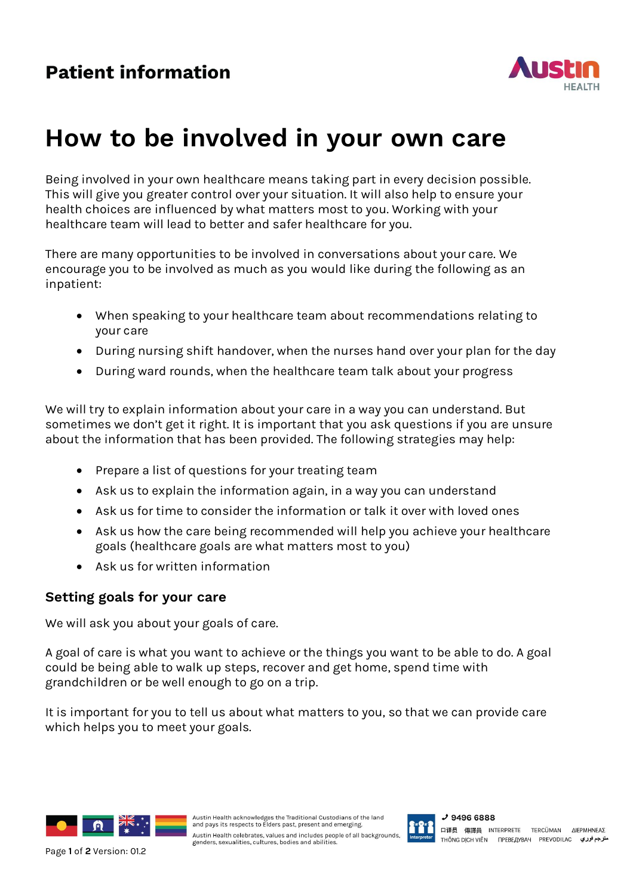

## **How to be involved in your own care**

Being involved in your own healthcare means taking part in every decision possible. This will give you greater control over your situation. It will also help to ensure your health choices are influenced by what matters most to you. Working with your healthcare team will lead to better and safer healthcare for you.

There are many opportunities to be involved in conversations about your care. We encourage you to be involved as much as you would like during the following as an inpatient:

- When speaking to your healthcare team about recommendations relating to your care
- During nursing shift handover, when the nurses hand over your plan for the day
- During ward rounds, when the healthcare team talk about your progress

We will try to explain information about your care in a way you can understand. But sometimes we don't get it right. It is important that you ask questions if you are unsure about the information that has been provided. The following strategies may help:

- Prepare a list of questions for your treating team
- Ask us to explain the information again, in a way you can understand
- Ask us for time to consider the information or talk it over with loved ones
- Ask us how the care being recommended will help you achieve your healthcare goals (healthcare goals are what matters most to you)
- Ask us for written information

## **Setting goals for your care**

We will ask you about your goals of care.

A goal of care is what you want to achieve or the things you want to be able to do. A goal could be being able to walk up steps, recover and get home, spend time with grandchildren or be well enough to go on a trip.

It is important for you to tell us about what matters to you, so that we can provide care which helps you to meet your goals.